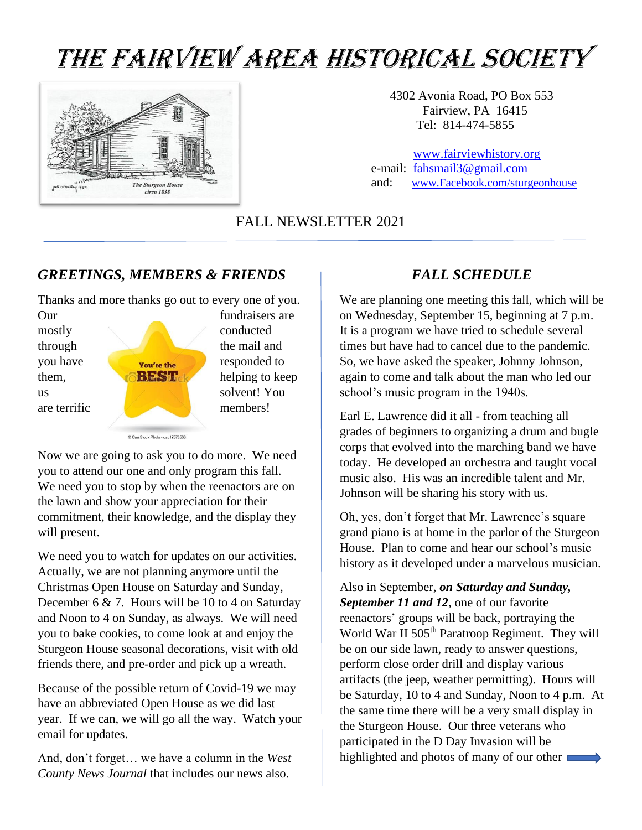# THE FAIRVIEW AREA HISTORICAL SOCIETY



4302 Avonia Road, PO Box 553 Fairview, PA 16415 Tel: 814-474-5855

 [www.fairviewhistory.org](http://www.fairviewhistory.org/) e-mail: [fahsmail3@gmail.com](mailto:fahsmail3@gmail.com/) and: [www.Facebook.com/sturgeonhouse](http://www.facebook.com/sturgeonhouse) 

FALL NEWSLETTER 2021

#### *GREETINGS, MEMBERS & FRIENDS*

Thanks and more thanks go out to every one of you.

Our fundraisers are mostly conducted through the mail and you have **responded** to them, **helping to keep** us  $\log$  solvent! You are terrific and the members!

Now we are going to ask you to do more. We need you to attend our one and only program this fall. We need you to stop by when the reenactors are on the lawn and show your appreciation for their commitment, their knowledge, and the display they will present.

C Can Stock Photo - csp17573586

We need you to watch for updates on our activities. Actually, we are not planning anymore until the Christmas Open House on Saturday and Sunday, December 6 & 7. Hours will be 10 to 4 on Saturday and Noon to 4 on Sunday, as always. We will need you to bake cookies, to come look at and enjoy the Sturgeon House seasonal decorations, visit with old friends there, and pre-order and pick up a wreath.

Because of the possible return of Covid-19 we may have an abbreviated Open House as we did last year. If we can, we will go all the way. Watch your email for updates.

And, don't forget… we have a column in the *West County News Journal* that includes our news also.

#### *FALL SCHEDULE*

We are planning one meeting this fall, which will be on Wednesday, September 15, beginning at 7 p.m. It is a program we have tried to schedule several times but have had to cancel due to the pandemic. So, we have asked the speaker, Johnny Johnson, again to come and talk about the man who led our school's music program in the 1940s.

Earl E. Lawrence did it all - from teaching all grades of beginners to organizing a drum and bugle corps that evolved into the marching band we have today. He developed an orchestra and taught vocal music also. His was an incredible talent and Mr. Johnson will be sharing his story with us.

Oh, yes, don't forget that Mr. Lawrence's square grand piano is at home in the parlor of the Sturgeon House. Plan to come and hear our school's music history as it developed under a marvelous musician.

Also in September, *on Saturday and Sunday, September 11 and 12*, one of our favorite reenactors' groups will be back, portraying the World War II 505<sup>th</sup> Paratroop Regiment. They will be on our side lawn, ready to answer questions, perform close order drill and display various artifacts (the jeep, weather permitting). Hours will be Saturday, 10 to 4 and Sunday, Noon to 4 p.m. At the same time there will be a very small display in the Sturgeon House. Our three veterans who participated in the D Day Invasion will be highlighted and photos of many of our other